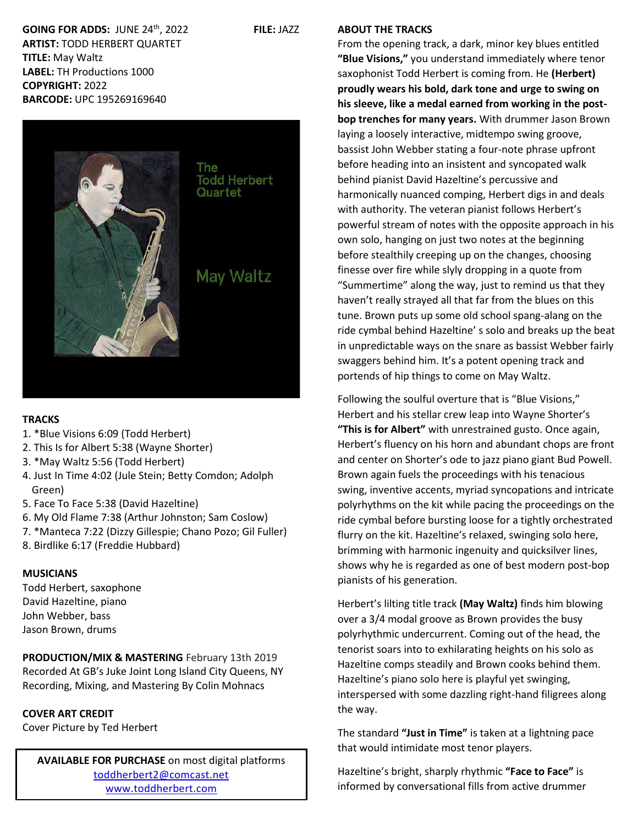**GOING FOR ADDS:** JUNE 24th, 2022 **FILE:** JAZZ **ARTIST:** TODD HERBERT QUARTET **TITLE:** May Waltz **LABEL:** TH Productions 1000 **COPYRIGHT:** 2022 **BARCODE:** UPC 195269169640



#### **TRACKS**

- 1. \*Blue Visions 6:09 (Todd Herbert)
- 2. This Is for Albert 5:38 (Wayne Shorter)
- 3. \*May Waltz 5:56 (Todd Herbert)
- 4. Just In Time 4:02 (Jule Stein; Betty Comdon; Adolph Green)
- 5. Face To Face 5:38 (David Hazeltine)
- 6. My Old Flame 7:38 (Arthur Johnston; Sam Coslow)
- 7. \*Manteca 7:22 (Dizzy Gillespie; Chano Pozo; Gil Fuller)
- 8. Birdlike 6:17 (Freddie Hubbard)

# **MUSICIANS**

Todd Herbert, saxophone David Hazeltine, piano John Webber, bass Jason Brown, drums

**PRODUCTION/MIX & MASTERING** February 13th 2019 Recorded At GB's Juke Joint Long Island City Queens, NY Recording, Mixing, and Mastering By Colin Mohnacs

# **COVER ART CREDIT**

Cover Picture by Ted Herbert

**AVAILABLE FOR PURCHASE** on most digital platforms [toddherbert2@comcast.net](mailto:toddherbert2@comcast.net) [www.toddherbert.com](http://www.toddherbert.com/)

#### **ABOUT THE TRACKS**

From the opening track, a dark, minor key blues entitled **"Blue Visions,"** you understand immediately where tenor saxophonist Todd Herbert is coming from. He **(Herbert) proudly wears his bold, dark tone and urge to swing on his sleeve, like a medal earned from working in the postbop trenches for many years.** With drummer Jason Brown laying a loosely interactive, midtempo swing groove, bassist John Webber stating a four-note phrase upfront before heading into an insistent and syncopated walk behind pianist David Hazeltine's percussive and harmonically nuanced comping, Herbert digs in and deals with authority. The veteran pianist follows Herbert's powerful stream of notes with the opposite approach in his own solo, hanging on just two notes at the beginning before stealthily creeping up on the changes, choosing finesse over fire while slyly dropping in a quote from "Summertime" along the way, just to remind us that they haven't really strayed all that far from the blues on this tune. Brown puts up some old school spang-alang on the ride cymbal behind Hazeltine' s solo and breaks up the beat in unpredictable ways on the snare as bassist Webber fairly swaggers behind him. It's a potent opening track and portends of hip things to come on May Waltz.

Following the soulful overture that is "Blue Visions," Herbert and his stellar crew leap into Wayne Shorter's **"This is for Albert"** with unrestrained gusto. Once again, Herbert's fluency on his horn and abundant chops are front and center on Shorter's ode to jazz piano giant Bud Powell. Brown again fuels the proceedings with his tenacious swing, inventive accents, myriad syncopations and intricate polyrhythms on the kit while pacing the proceedings on the ride cymbal before bursting loose for a tightly orchestrated flurry on the kit. Hazeltine's relaxed, swinging solo here, brimming with harmonic ingenuity and quicksilver lines, shows why he is regarded as one of best modern post-bop pianists of his generation.

Herbert's lilting title track **(May Waltz)** finds him blowing over a 3/4 modal groove as Brown provides the busy polyrhythmic undercurrent. Coming out of the head, the tenorist soars into to exhilarating heights on his solo as Hazeltine comps steadily and Brown cooks behind them. Hazeltine's piano solo here is playful yet swinging, interspersed with some dazzling right-hand filigrees along the way.

The standard **"Just in Time"** is taken at a lightning pace that would intimidate most tenor players.

Hazeltine's bright, sharply rhythmic **"Face to Face"** is informed by conversational fills from active drummer